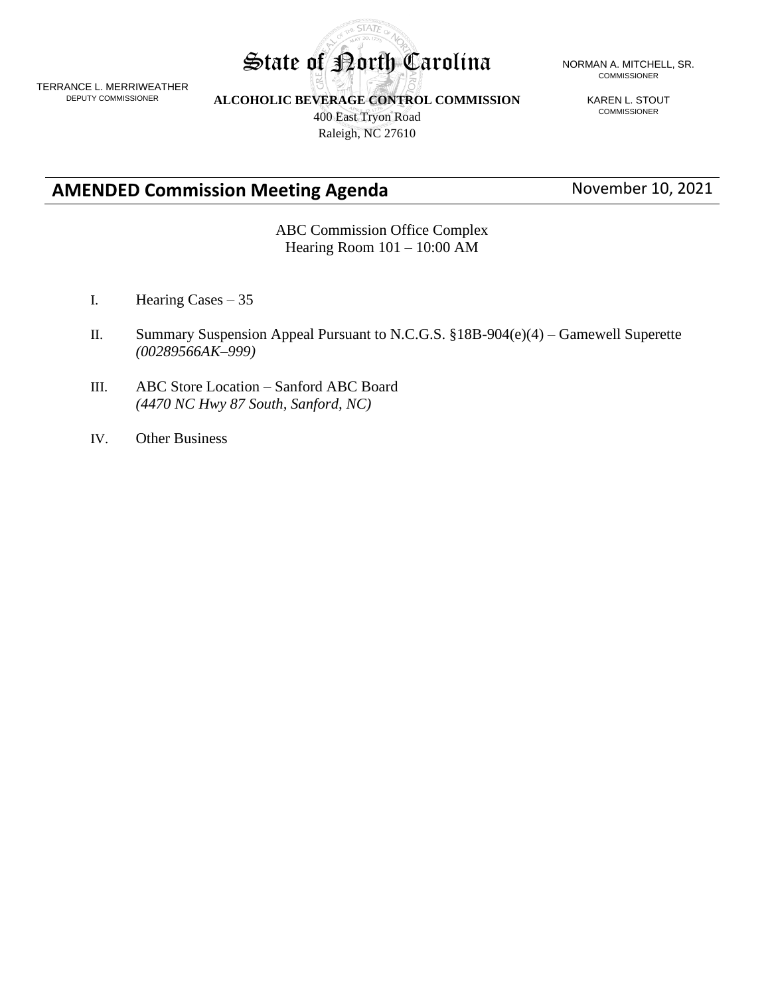

TERRANCE L. MERRIWEATHER DEPUTY COMMISSIONER

**ALCOHOLIC BEVERAGE CONTROL COMMISSION**

400 East Tryon Road Raleigh, NC 27610

KAREN L. STOUT COMMISSIONER

**AMENDED Commission Meeting Agenda** November 10, 2021

ABC Commission Office Complex Hearing Room 101 – 10:00 AM

- I. Hearing Cases 35
- II. Summary Suspension Appeal Pursuant to N.C.G.S. §18B-904(e)(4) Gamewell Superette *(00289566AK–999)*
- III. ABC Store Location Sanford ABC Board *(4470 NC Hwy 87 South, Sanford, NC)*
- IV. Other Business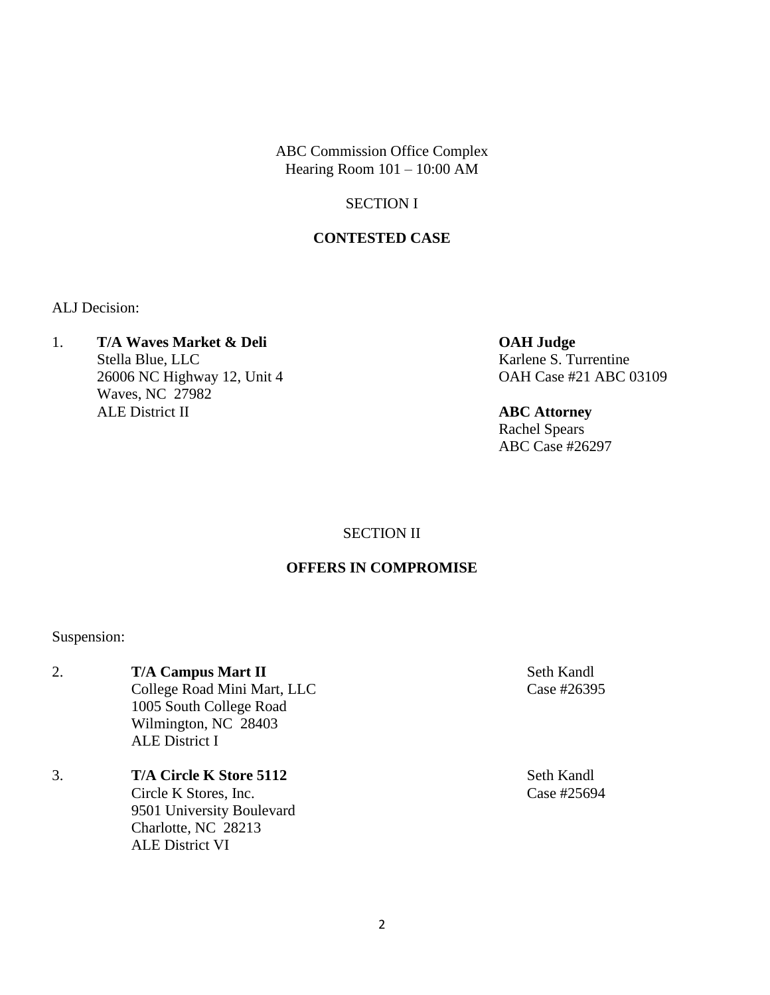ABC Commission Office Complex Hearing Room 101 – 10:00 AM

## SECTION I

## **CONTESTED CASE**

ALJ Decision:

1. **T/A Waves Market & Deli OAH Judge** Stella Blue, LLC<br>
Karlene S. Turrentine 26006 NC Highway 12, Unit 4 OAH Case #21 ABC 03109 Waves, NC 27982 ALE District II **ABC Attorney**

Rachel Spears ABC Case #26297

## SECTION II

## **OFFERS IN COMPROMISE**

Suspension:

- 2. **T/A Campus Mart II** Seth Kandl College Road Mini Mart, LLC Case #26395 1005 South College Road Wilmington, NC 28403 ALE District I
- 3. **T/A Circle K Store 5112** Seth Kandl Circle K Stores, Inc. Case #25694 9501 University Boulevard Charlotte, NC 28213 ALE District VI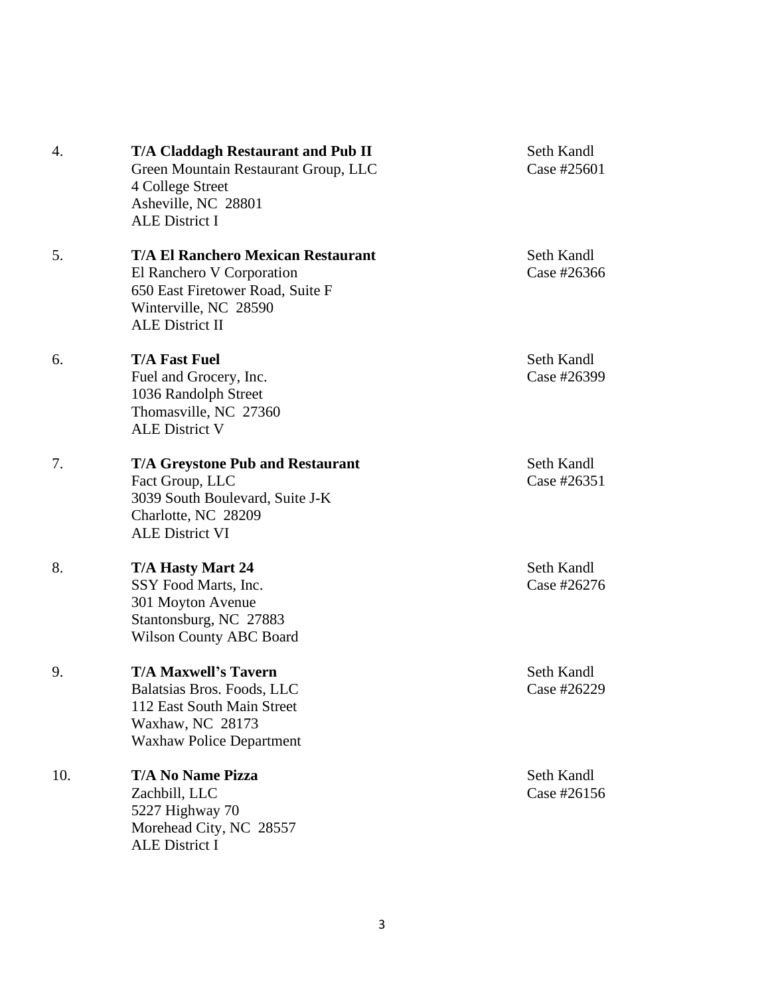| 4.  | <b>T/A Claddagh Restaurant and Pub II</b><br>Green Mountain Restaurant Group, LLC<br>4 College Street<br>Asheville, NC 28801<br><b>ALE District I</b>         | Seth Kandl<br>Case #2560 |
|-----|---------------------------------------------------------------------------------------------------------------------------------------------------------------|--------------------------|
| 5.  | <b>T/A El Ranchero Mexican Restaurant</b><br>El Ranchero V Corporation<br>650 East Firetower Road, Suite F<br>Winterville, NC 28590<br><b>ALE District II</b> | Seth Kandl<br>Case #2636 |
| 6.  | <b>T/A Fast Fuel</b><br>Fuel and Grocery, Inc.<br>1036 Randolph Street<br>Thomasville, NC 27360<br><b>ALE District V</b>                                      | Seth Kandl<br>Case #2639 |
| 7.  | <b>T/A Greystone Pub and Restaurant</b><br>Fact Group, LLC<br>3039 South Boulevard, Suite J-K<br>Charlotte, NC 28209<br><b>ALE District VI</b>                | Seth Kandl<br>Case #2635 |
| 8.  | <b>T/A Hasty Mart 24</b><br>SSY Food Marts, Inc.<br>301 Moyton Avenue<br>Stantonsburg, NC 27883<br><b>Wilson County ABC Board</b>                             | Seth Kandl<br>Case #2627 |
| 9.  | <b>T/A Maxwell's Tavern</b><br>Balatsias Bros. Foods, LLC<br>112 East South Main Street<br>Waxhaw, NC 28173<br><b>Waxhaw Police Department</b>                | Seth Kandl<br>Case #2622 |
| 10. | <b>T/A No Name Pizza</b><br>Zachbill, LLC<br>5227 Highway 70<br>Morehead City, NC 28557<br><b>ALE District I</b>                                              | Seth Kandl<br>Case #2615 |

Case #25601

Seth Kandl Case #26366

**Seth Kandl** Case #26399

Seth Kandl Case #26351

**Seth Kandl** Case #26276

Seth Kandl Case #26229

Seth Kandl Case #26156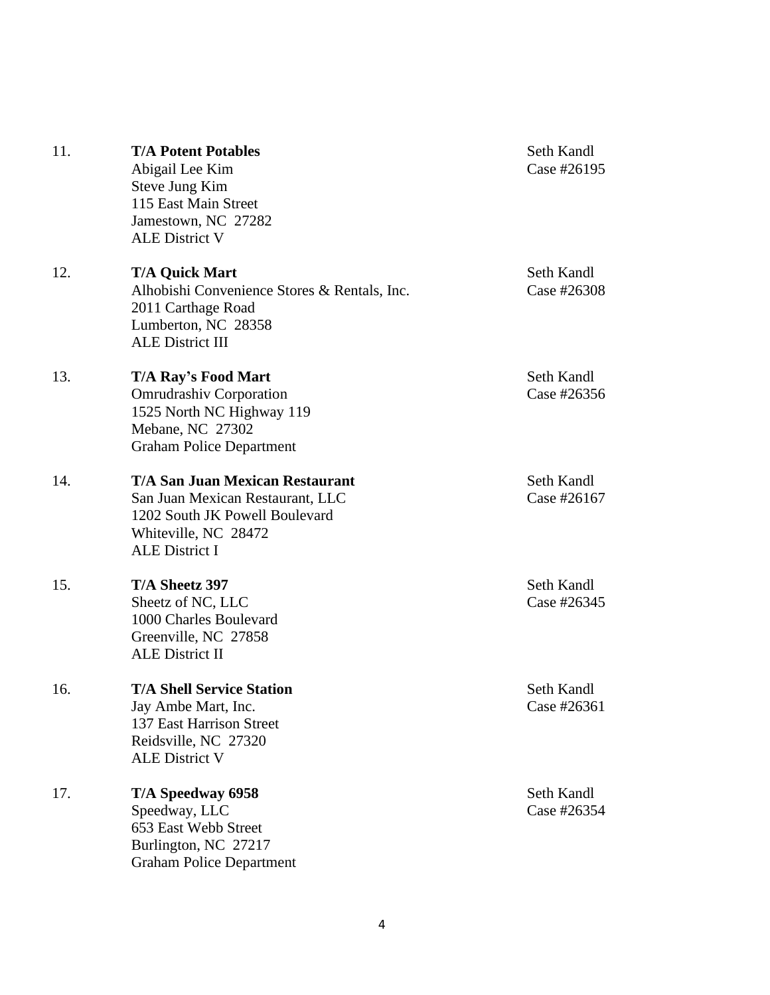| 11. | <b>T/A Potent Potables</b><br>Abigail Lee Kim<br>Steve Jung Kim<br>115 East Main Street<br>Jamestown, NC 27282<br><b>ALE District V</b>                       | Seth Kandl<br>Case #26195 |
|-----|---------------------------------------------------------------------------------------------------------------------------------------------------------------|---------------------------|
| 12. | <b>T/A Quick Mart</b><br>Alhobishi Convenience Stores & Rentals, Inc.<br>2011 Carthage Road<br>Lumberton, NC 28358<br><b>ALE District III</b>                 | Seth Kandl<br>Case #26308 |
| 13. | <b>T/A Ray's Food Mart</b><br><b>Omrudrashiv Corporation</b><br>1525 North NC Highway 119<br>Mebane, NC 27302<br><b>Graham Police Department</b>              | Seth Kandl<br>Case #26356 |
| 14. | <b>T/A San Juan Mexican Restaurant</b><br>San Juan Mexican Restaurant, LLC<br>1202 South JK Powell Boulevard<br>Whiteville, NC 28472<br><b>ALE District I</b> | Seth Kandl<br>Case #26167 |
| 15. | T/A Sheetz 397<br>Sheetz of NC, LLC<br>1000 Charles Boulevard<br>Greenville, NC 27858<br><b>ALE District II</b>                                               | Seth Kandl<br>Case #26345 |
| 16. | <b>T/A Shell Service Station</b><br>Jay Ambe Mart, Inc.<br>137 East Harrison Street<br>Reidsville, NC 27320<br><b>ALE District V</b>                          | Seth Kandl<br>Case #26361 |
| 17. | T/A Speedway 6958<br>Speedway, LLC<br>653 East Webb Street<br>Burlington, NC 27217<br><b>Graham Police Department</b>                                         | Seth Kandl<br>Case #26354 |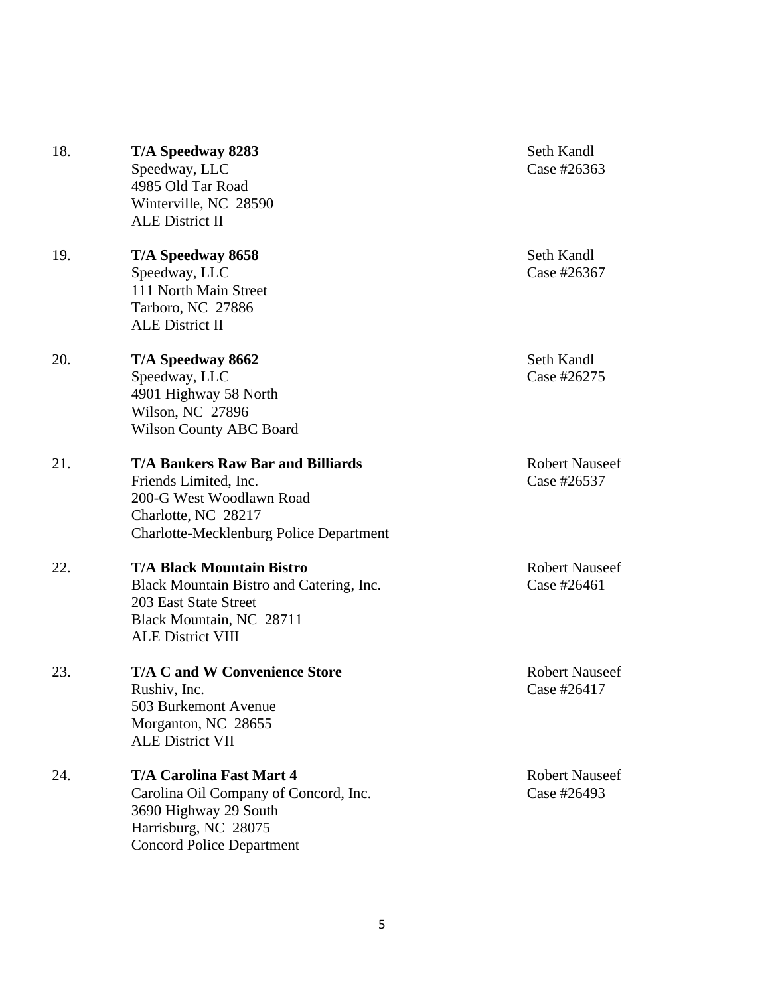| 18. | T/A Speedway 8283<br>Speedway, LLC<br>4985 Old Tar Road<br>Winterville, NC 28590<br><b>ALE District II</b>                                                             | Seth Kandl<br>Case #26363            |
|-----|------------------------------------------------------------------------------------------------------------------------------------------------------------------------|--------------------------------------|
| 19. | T/A Speedway 8658<br>Speedway, LLC<br>111 North Main Street<br>Tarboro, NC 27886<br><b>ALE District II</b>                                                             | Seth Kandl<br>Case #26367            |
| 20. | T/A Speedway 8662<br>Speedway, LLC<br>4901 Highway 58 North<br>Wilson, NC 27896<br><b>Wilson County ABC Board</b>                                                      | Seth Kandl<br>Case #26275            |
| 21. | <b>T/A Bankers Raw Bar and Billiards</b><br>Friends Limited, Inc.<br>200-G West Woodlawn Road<br>Charlotte, NC 28217<br><b>Charlotte-Mecklenburg Police Department</b> | <b>Robert Nauseef</b><br>Case #26537 |
| 22. | <b>T/A Black Mountain Bistro</b><br>Black Mountain Bistro and Catering, Inc.<br>203 East State Street<br>Black Mountain, NC 28711<br><b>ALE District VIII</b>          | <b>Robert Nauseef</b><br>Case #26461 |
| 23. | <b>T/A C and W Convenience Store</b><br>Rushiv, Inc.<br>503 Burkemont Avenue<br>Morganton, NC 28655<br><b>ALE District VII</b>                                         | <b>Robert Nauseef</b><br>Case #26417 |
| 24. | <b>T/A Carolina Fast Mart 4</b><br>Carolina Oil Company of Concord, Inc.<br>3690 Highway 29 South<br>Harrisburg, NC 28075<br><b>Concord Police Department</b>          | <b>Robert Nauseef</b><br>Case #26493 |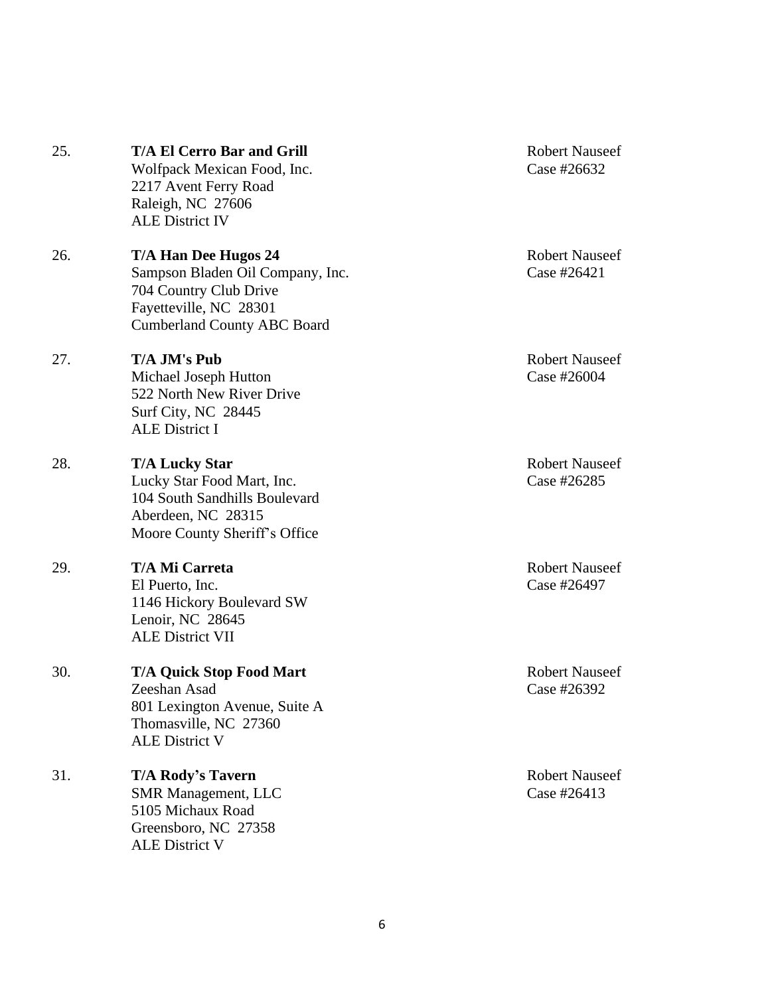| 25. | <b>T/A El Cerro Bar and Grill</b><br>Wolfpack Mexican Food, Inc.<br>2217 Avent Ferry Road<br>Raleigh, NC 27606<br><b>ALE District IV</b>           | <b>Robert Nauseef</b><br>Case #26632 |
|-----|----------------------------------------------------------------------------------------------------------------------------------------------------|--------------------------------------|
| 26. | T/A Han Dee Hugos 24<br>Sampson Bladen Oil Company, Inc.<br>704 Country Club Drive<br>Fayetteville, NC 28301<br><b>Cumberland County ABC Board</b> | <b>Robert Nauseef</b><br>Case #26421 |
| 27. | T/A JM's Pub<br>Michael Joseph Hutton<br>522 North New River Drive<br>Surf City, NC 28445<br><b>ALE District I</b>                                 | <b>Robert Nauseef</b><br>Case #26004 |
| 28. | <b>T/A Lucky Star</b><br>Lucky Star Food Mart, Inc.<br>104 South Sandhills Boulevard<br>Aberdeen, NC 28315<br>Moore County Sheriff's Office        | <b>Robert Nauseef</b><br>Case #26285 |
| 29. | T/A Mi Carreta<br>El Puerto, Inc.<br>1146 Hickory Boulevard SW<br>Lenoir, NC 28645<br><b>ALE District VII</b>                                      | <b>Robert Nauseef</b><br>Case #26497 |
| 30. | <b>T/A Quick Stop Food Mart</b><br>Zeeshan Asad<br>801 Lexington Avenue, Suite A<br>Thomasville, NC 27360<br><b>ALE District V</b>                 | <b>Robert Nauseef</b><br>Case #26392 |
| 31. | <b>T/A Rody's Tavern</b><br><b>SMR Management, LLC</b><br>5105 Michaux Road<br>Greensboro, NC 27358<br><b>ALE District V</b>                       | <b>Robert Nauseef</b><br>Case #26413 |
|     |                                                                                                                                                    |                                      |